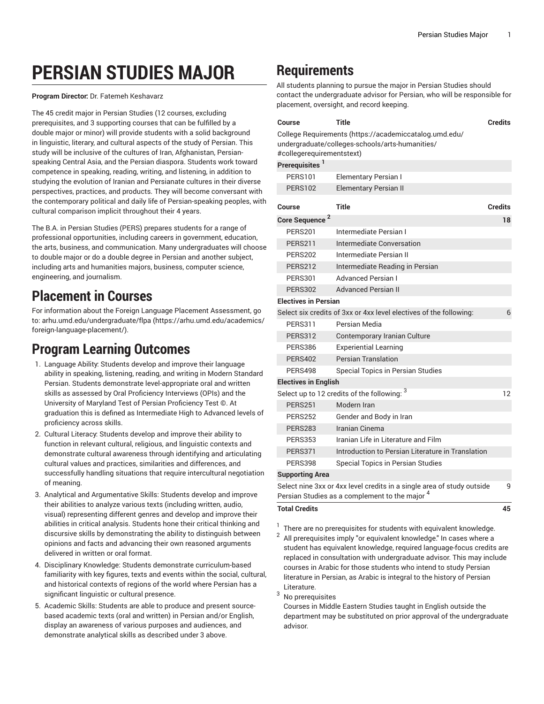# **PERSIAN STUDIES MAJOR**

**Program Director:** Dr. Fatemeh Keshavarz

The 45 credit major in Persian Studies (12 courses, excluding prerequisites, and 3 supporting courses that can be fulfilled by a double major or minor) will provide students with a solid background in linguistic, literary, and cultural aspects of the study of Persian. This study will be inclusive of the cultures of Iran, Afghanistan, Persianspeaking Central Asia, and the Persian diaspora. Students work toward competence in speaking, reading, writing, and listening, in addition to studying the evolution of Iranian and Persianate cultures in their diverse perspectives, practices, and products. They will become conversant with the contemporary political and daily life of Persian-speaking peoples, with cultural comparison implicit throughout their 4 years.

The B.A. in Persian Studies (PERS) prepares students for a range of professional opportunities, including careers in government, education, the arts, business, and communication. Many undergraduates will choose to double major or do a double degree in Persian and another subject, including arts and humanities majors, business, computer science, engineering, and journalism.

### **Placement in Courses**

For information about the Foreign Language Placement Assessment, go to: [arhu.umd.edu/undergraduate/flpa](https://arhu.umd.edu/academics/foreign-language-placement/) ([https://arhu.umd.edu/academics/](https://arhu.umd.edu/academics/foreign-language-placement/) [foreign-language-placement/](https://arhu.umd.edu/academics/foreign-language-placement/)).

### **Program Learning Outcomes**

- 1. Language Ability: Students develop and improve their language ability in speaking, listening, reading, and writing in Modern Standard Persian. Students demonstrate level-appropriate oral and written skills as assessed by Oral Proficiency Interviews (OPIs) and the University of Maryland Test of Persian Proficiency Test ©. At graduation this is defined as Intermediate High to Advanced levels of proficiency across skills.
- 2. Cultural Literacy: Students develop and improve their ability to function in relevant cultural, religious, and linguistic contexts and demonstrate cultural awareness through identifying and articulating cultural values and practices, similarities and differences, and successfully handling situations that require intercultural negotiation of meaning.
- 3. Analytical and Argumentative Skills: Students develop and improve their abilities to analyze various texts (including written, audio, visual) representing different genres and develop and improve their abilities in critical analysis. Students hone their critical thinking and discursive skills by demonstrating the ability to distinguish between opinions and facts and advancing their own reasoned arguments delivered in written or oral format.
- 4. Disciplinary Knowledge: Students demonstrate curriculum-based familiarity with key figures, texts and events within the social, cultural, and historical contexts of regions of the world where Persian has a significant linguistic or cultural presence.
- 5. Academic Skills: Students are able to produce and present sourcebased academic texts (oral and written) in Persian and/or English, display an awareness of various purposes and audiences, and demonstrate analytical skills as described under 3 above.

## **Requirements**

All students planning to pursue the major in Persian Studies should contact the undergraduate advisor for Persian, who will be responsible for placement, oversight, and record keeping.

| Course                                                                                                    | <b>Title</b>                                                       | <b>Credits</b> |
|-----------------------------------------------------------------------------------------------------------|--------------------------------------------------------------------|----------------|
| College Requirements (https://academiccatalog.umd.edu/<br>undergraduate/colleges-schools/arts-humanities/ |                                                                    |                |
| #collegerequirementstext)<br>Prerequisites <sup>1</sup>                                                   |                                                                    |                |
| <b>PERS101</b>                                                                                            |                                                                    |                |
|                                                                                                           | <b>Elementary Persian I</b>                                        |                |
| PERS102                                                                                                   | <b>Elementary Persian II</b>                                       |                |
| Course                                                                                                    | Title                                                              | <b>Credits</b> |
| Core Sequence <sup>2</sup>                                                                                |                                                                    | 18             |
| <b>PERS201</b>                                                                                            | Intermediate Persian I                                             |                |
| <b>PERS211</b>                                                                                            | Intermediate Conversation                                          |                |
| <b>PERS202</b>                                                                                            | Intermediate Persian II                                            |                |
| <b>PERS212</b>                                                                                            | Intermediate Reading in Persian                                    |                |
| <b>PERS301</b>                                                                                            | <b>Advanced Persian I</b>                                          |                |
| <b>PERS302</b>                                                                                            | <b>Advanced Persian II</b>                                         |                |
| <b>Electives in Persian</b>                                                                               |                                                                    |                |
|                                                                                                           | Select six credits of 3xx or 4xx level electives of the following: | 6              |
| <b>PERS311</b>                                                                                            | Persian Media                                                      |                |
| <b>PERS312</b>                                                                                            | Contemporary Iranian Culture                                       |                |
| PERS386                                                                                                   | <b>Experiential Learning</b>                                       |                |
| <b>PERS402</b>                                                                                            | <b>Persian Translation</b>                                         |                |
| PERS498                                                                                                   | Special Topics in Persian Studies                                  |                |
| <b>Electives in English</b>                                                                               |                                                                    |                |
|                                                                                                           | Select up to 12 credits of the following: 3                        | 12             |
| <b>PERS251</b>                                                                                            | Modern Iran                                                        |                |
| <b>PERS252</b>                                                                                            | Gender and Body in Iran                                            |                |
| <b>PERS283</b>                                                                                            | Iranian Cinema                                                     |                |
| <b>PERS353</b>                                                                                            | Iranian Life in Literature and Film                                |                |
| <b>PERS371</b>                                                                                            | Introduction to Persian Literature in Translation                  |                |
| <b>PERS398</b>                                                                                            | Special Topics in Persian Studies                                  |                |
| <b>Supporting Area</b>                                                                                    |                                                                    |                |
| Select nine 3xx or 4xx level credits in a single area of study outside                                    |                                                                    | 9              |
| Persian Studies as a complement to the major <sup>4</sup>                                                 |                                                                    |                |
| <b>Total Credits</b><br>45                                                                                |                                                                    |                |

- 
- 1 There are no prerequisites for students with equivalent knowledge. 2
- All prerequisites imply "or equivalent knowledge." In cases where a student has equivalent knowledge, required language-focus credits are replaced in consultation with undergraduate advisor. This may include courses in Arabic for those students who intend to study Persian literature in Persian, as Arabic is integral to the history of Persian Literature.
- <sup>3</sup> No prerequisites

Courses in Middle Eastern Studies taught in English outside the department may be substituted on prior approval of the undergraduate advisor.